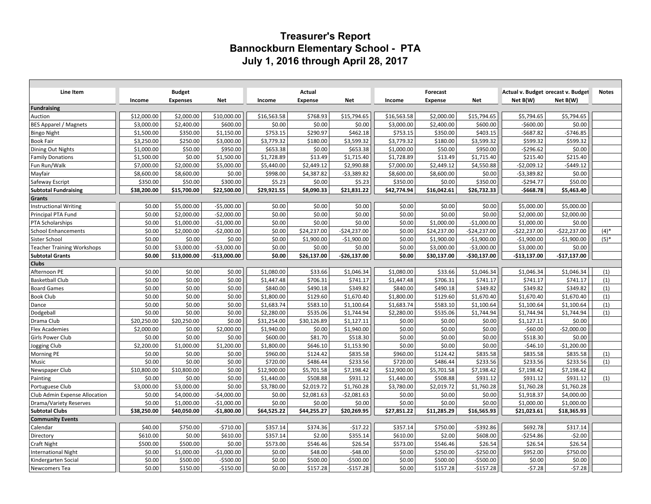## **Treasurer's Report Bannockburn Elementary School - PTA July 1, 2016 through April 28, 2017**

| Line Item                         |             | <b>Budget</b>   |               | Actual      |             |               |             | Forecast    |               | Actual v. Budget orecast v. Budget |               | <b>Notes</b> |
|-----------------------------------|-------------|-----------------|---------------|-------------|-------------|---------------|-------------|-------------|---------------|------------------------------------|---------------|--------------|
|                                   | Income      | <b>Expenses</b> | <b>Net</b>    | Income      | Expense     | <b>Net</b>    | Income      | Expense     | <b>Net</b>    | Net B(W)                           | Net B(W)      |              |
| <b>Fundraising</b>                |             |                 |               |             |             |               |             |             |               |                                    |               |              |
| Auction                           | \$12,000.00 | \$2,000.00      | \$10,000.00   | \$16,563.58 | \$768.93    | \$15,794.65   | \$16,563.58 | \$2,000.00  | \$15,794.65   | \$5,794.65                         | \$5,794.65    |              |
| <b>BES Apparel / Magnets</b>      | \$3,000.00  | \$2,400.00      | \$600.00      | \$0.00      | \$0.00      | \$0.00        | \$3,000.00  | \$2,400.00  | \$600.00      | $-$600.00$                         | \$0.00        |              |
| <b>Bingo Night</b>                | \$1,500.00  | \$350.00        | \$1,150.00    | \$753.15    | \$290.97    | \$462.18      | \$753.15    | \$350.00    | \$403.15      | $-$687.82$                         | $-$746.85$    |              |
| <b>Book Fair</b>                  | \$3,250.00  | \$250.00        | \$3,000.00    | \$3,779.32  | \$180.00    | \$3,599.32    | \$3,779.32  | \$180.00    | \$3,599.32    | \$599.32                           | \$599.32      |              |
| Dining Out Nights                 | \$1,000.00  | \$50.00         | \$950.00      | \$653.38    | \$0.00      | \$653.38      | \$1,000.00  | \$50.00     | \$950.00      | $-5296.62$                         | \$0.00        |              |
| <b>Family Donations</b>           | \$1,500.00  | \$0.00          | \$1,500.00    | \$1,728.89  | \$13.49     | \$1,715.40    | \$1,728.89  | \$13.49     | \$1,715.40    | \$215.40                           | \$215.40      |              |
| Fun Run/Walk                      | \$7,000.00  | \$2,000.00      | \$5,000.00    | \$5,440.00  | \$2,449.12  | \$2,990.88    | \$7,000.00  | \$2,449.12  | \$4,550.88    | $-52,009.12$                       | $-5449.12$    |              |
| Mayfair                           | \$8,600.00  | \$8,600.00      | \$0.00        | \$998.00    | \$4,387.82  | $-$3,389.82$  | \$8,600.00  | \$8,600.00  | \$0.00        | $-$3,389.82$                       | \$0.00        |              |
| Safeway Escript                   | \$350.00    | \$50.00         | \$300.00      | \$5.23      | \$0.00      | \$5.23        | \$350.00    | \$0.00      | \$350.00      | $-5294.77$                         | \$50.00       |              |
| <b>Subtotal Fundraising</b>       | \$38,200.00 | \$15,700.00     | \$22,500.00   | \$29,921.55 | \$8,090.33  | \$21,831.22   | \$42,774.94 | \$16,042.61 | \$26,732.33   | $-$668.78$                         | \$5,463.40    |              |
| Grants                            |             |                 |               |             |             |               |             |             |               |                                    |               |              |
| <b>Instructional Writing</b>      | \$0.00      | \$5,000.00      | $-55,000.00$  | \$0.00      | \$0.00      | \$0.00        | \$0.00      | \$0.00      | \$0.00        | \$5,000.00                         | \$5,000.00    |              |
| Principal PTA Fund                | \$0.00      | \$2,000.00      | $-$2,000.00$  | \$0.00      | \$0.00      | \$0.00        | \$0.00      | \$0.00      | \$0.00        | \$2,000.00                         | \$2,000.00    |              |
| PTA Scholarships                  | \$0.00      | \$1,000.00      | $-$1,000.00$  | \$0.00      | \$0.00      | \$0.00        | \$0.00      | \$1,000.00  | $-$1,000.00$  | \$1,000.00                         | \$0.00        |              |
| <b>School Enhancements</b>        | \$0.00      | \$2,000.00      | $-$2,000.00$  | \$0.00      | \$24,237.00 | $-$24,237.00$ | \$0.00      | \$24,237.00 | $-$24,237.00$ | $-$22,237.00$                      | $-$22,237.00$ | $(4)$ *      |
| Sister School                     | \$0.00      | \$0.00          | \$0.00        | \$0.00      | \$1,900.00  | $-$1,900.00$  | \$0.00      | \$1,900.00  | $-$1,900.00$  | $-$1,900.00$                       | $-$1,900.00$  | $(5)$ *      |
| <b>Teacher Training Workshops</b> | \$0.00      | \$3,000.00      | $-$3,000.00$  | \$0.00      | \$0.00      | \$0.00        | \$0.00      | \$3,000.00  | $-$3,000.00$  | \$3,000.00                         | \$0.00        |              |
| <b>Subtotal Grants</b>            | \$0.00      | \$13,000.00     | $-$13,000.00$ | \$0.00      | \$26,137.00 | $-$26,137.00$ | \$0.00      | \$30,137.00 | $-$30,137.00$ | $-$13,137.00$                      | $-$17,137.00$ |              |
| <b>Clubs</b>                      |             |                 |               |             |             |               |             |             |               |                                    |               |              |
| Afternoon PE                      | \$0.00      | \$0.00          | \$0.00        | \$1,080.00  | \$33.66     | \$1,046.34    | \$1,080.00  | \$33.66     | \$1,046.34    | \$1,046.34                         | \$1,046.34    | (1)          |
| <b>Basketball Club</b>            | \$0.00      | \$0.00          | \$0.00        | \$1,447.48  | \$706.31    | \$741.17      | \$1,447.48  | \$706.31    | \$741.17      | \$741.17                           | \$741.17      | (1)          |
| <b>Board Games</b>                | \$0.00      | \$0.00          | \$0.00        | \$840.00    | \$490.18    | \$349.82      | \$840.00    | \$490.18    | \$349.82      | \$349.82                           | \$349.82      | (1)          |
| <b>Book Club</b>                  | \$0.00      | \$0.00          | \$0.00        | \$1,800.00  | \$129.60    | \$1,670.40    | \$1,800.00  | \$129.60    | \$1,670.40    | \$1,670.40                         | \$1,670.40    | (1)          |
| Dance                             | \$0.00      | \$0.00          | \$0.00        | \$1,683.74  | \$583.10    | \$1,100.64    | \$1,683.74  | \$583.10    | \$1,100.64    | \$1,100.64                         | \$1,100.64    | (1)          |
| Dodgeball                         | \$0.00      | \$0.00          | \$0.00        | \$2,280.00  | \$535.06    | \$1,744.94    | \$2,280.00  | \$535.06    | \$1,744.94    | \$1,744.94                         | \$1,744.94    | (1)          |
| Drama Club                        | \$20,250.00 | \$20,250.00     | \$0.00        | \$31,254.00 | \$30,126.89 | \$1,127.11    | \$0.00      | \$0.00      | \$0.00        | \$1,127.11                         | \$0.00        |              |
| <b>Flex Academies</b>             | \$2,000.00  | \$0.00          | \$2,000.00    | \$1,940.00  | \$0.00      | \$1,940.00    | \$0.00      | \$0.00      | \$0.00        | $-$60.00$                          | $-$2,000.00$  |              |
| Girls Power Club                  | \$0.00      | \$0.00          | \$0.00        | \$600.00    | \$81.70     | \$518.30      | \$0.00      | \$0.00      | \$0.00        | \$518.30                           | \$0.00        |              |
| Jogging Club                      | \$2,200.00  | \$1,000.00      | \$1,200.00    | \$1,800.00  | \$646.10    | \$1,153.90    | \$0.00      | \$0.00      | \$0.00        | $-546.10$                          | $-$1,200.00$  |              |
| Morning PE                        | \$0.00      | \$0.00          | \$0.00        | \$960.00    | \$124.42    | \$835.58      | \$960.00    | \$124.42    | \$835.58      | \$835.58                           | \$835.58      | (1)          |
| Music                             | \$0.00      | \$0.00          | \$0.00        | \$720.00    | \$486.44    | \$233.56      | \$720.00    | \$486.44    | \$233.56      | \$233.56                           | \$233.56      | (1)          |
| Newspaper Club                    | \$10,800.00 | \$10,800.00     | \$0.00        | \$12,900.00 | \$5,701.58  | \$7,198.42    | \$12,900.00 | \$5,701.58  | \$7,198.42    | \$7,198.42                         | \$7,198.42    |              |
| Painting                          | \$0.00      | \$0.00          | \$0.00        | \$1,440.00  | \$508.88    | \$931.12      | \$1,440.00  | \$508.88    | \$931.12      | \$931.12                           | \$931.12      | (1)          |
| Portuguese Club                   | \$3,000.00  | \$3,000.00      | \$0.00        | \$3,780.00  | \$2,019.72  | \$1,760.28    | \$3,780.00  | \$2,019.72  | \$1,760.28    | \$1,760.28                         | \$1,760.28    |              |
| Club Admin Expense Allocation     | \$0.00      | \$4,000.00      | $-54,000.00$  | \$0.00      | \$2,081.63  | $-52,081.63$  | \$0.00      | \$0.00      | \$0.00        | \$1,918.37                         | \$4,000.00    |              |
| Drama/Variety Reserves            | \$0.00      | \$1,000.00      | $-$1,000.00$  | \$0.00      | \$0.00      | \$0.00        | \$0.00      | \$0.00      | \$0.00        | \$1,000.00                         | \$1,000.00    |              |
| <b>Subtotal Clubs</b>             | \$38,250.00 | \$40,050.00     | $-$1,800.00$  | \$64,525.22 | \$44,255.27 | \$20,269.95   | \$27,851.22 | \$11,285.29 | \$16,565.93   | \$21,023.61                        | \$18,365.93   |              |
| <b>Community Events</b>           |             |                 |               |             |             |               |             |             |               |                                    |               |              |
| Calendar                          | \$40.00     | \$750.00        | $-$710.00$    | \$357.14    | \$374.36    | $-517.22$     | \$357.14    | \$750.00    | $-5392.86$    | \$692.78                           | \$317.14      |              |
| Directory                         | \$610.00    | \$0.00          | \$610.00      | \$357.14    | \$2.00      | \$355.14      | \$610.00    | \$2.00      | \$608.00      | $-5254.86$                         | $-52.00$      |              |
| Craft Night                       | \$500.00    | \$500.00        | \$0.00        | \$573.00    | \$546.46    | \$26.54       | \$573.00    | \$546.46    | \$26.54       | \$26.54                            | \$26.54       |              |
| <b>International Night</b>        | \$0.00      | \$1,000.00      | $-$1,000.00$  | \$0.00      | \$48.00     | $-548.00$     | \$0.00      | \$250.00    | $-5250.00$    | \$952.00                           | \$750.00      |              |
| Kindergarten Social               | \$0.00      | \$500.00        | $-$500.00$    | \$0.00      | \$500.00    | -\$500.00     | \$0.00      | \$500.00    | $-$500.00$    | \$0.00                             | \$0.00        |              |
| Newcomers Tea                     | \$0.00      | \$150.00        | $-$150.00$    | \$0.00      | \$157.28    | $-$157.28$    | \$0.00      | \$157.28    | $-$157.28$    | $-57.28$                           | $-57.28$      |              |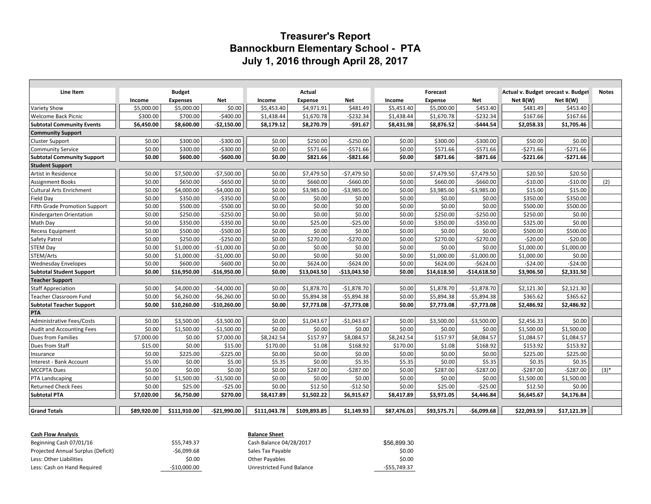## **Treasurer's Report Bannockburn Elementary School - PTA July 1, 2016 through April 28, 2017**

| Line Item                         | <b>Budget</b> |                 |               | Actual       |                |               | Forecast    |             |               | Actual v. Budget orecast v. Budget |             | <b>Notes</b> |
|-----------------------------------|---------------|-----------------|---------------|--------------|----------------|---------------|-------------|-------------|---------------|------------------------------------|-------------|--------------|
|                                   | Income        | <b>Expenses</b> | <b>Net</b>    | Income       | <b>Expense</b> | Net           | Income      | Expense     | Net           | Net B(W)                           | Net B(W)    |              |
| Variety Show                      | \$5,000.00    | \$5,000.00      | \$0.00        | \$5,453.40   | \$4,971.91     | \$481.49      | \$5,453.40  | \$5,000.00  | \$453.40      | \$481.49                           | \$453.40    |              |
| <b>Welcome Back Picnic</b>        | \$300.00      | \$700.00        | $-5400.00$    | \$1,438.44   | \$1,670.78     | $-5232.34$    | \$1,438.44  | \$1,670.78  | $-5232.34$    | \$167.66                           | \$167.66    |              |
| <b>Subtotal Community Events</b>  | \$6,450.00    | \$8,600.00      | $-$2,150.00$  | \$8,179.12   | \$8,270.79     | $-591.67$     | \$8,431.98  | \$8,876.52  | $-5444.54$    | \$2,058.33                         | \$1,705.46  |              |
| <b>Community Support</b>          |               |                 |               |              |                |               |             |             |               |                                    |             |              |
| Cluster Support                   | \$0.00        | \$300.00        | $-5300.00$    | \$0.00       | \$250.00       | $-5250.00$    | \$0.00      | \$300.00    | $-5300.00$    | \$50.00                            | \$0.00      |              |
| <b>Community Service</b>          | \$0.00        | \$300.00        | $-5300.00$    | \$0.00       | \$571.66       | $-5571.66$    | \$0.00      | \$571.66    | $-5571.66$    | $-5271.66$                         | $-$271.66$  |              |
| <b>Subtotal Community Support</b> | \$0.00        | \$600.00        | $-$600.00$    | \$0.00       | \$821.66       | $-5821.66$    | \$0.00      | \$871.66    | $-5871.66$    | $-5221.66$                         | $-5271.66$  |              |
| <b>Student Support</b>            |               |                 |               |              |                |               |             |             |               |                                    |             |              |
| Artist in Residence               | \$0.00        | \$7,500.00      | $-$7,500.00$  | \$0.00       | \$7,479.50     | $-57,479.50$  | \$0.00      | \$7,479.50  | $-57,479.50$  | \$20.50                            | \$20.50     |              |
| <b>Assignment Books</b>           | \$0.00        | \$650.00        | $-$650.00$    | \$0.00       | \$660.00       | $-5660.00$    | \$0.00      | \$660.00    | $-5660.00$    | $-510.00$                          | $-510.00$   | (2)          |
| <b>Cultural Arts Enrichment</b>   | \$0.00        | \$4,000.00      | $-$4,000.00$  | \$0.00       | \$3,985.00     | $-53,985.00$  | \$0.00      | \$3,985.00  | $-53,985.00$  | \$15.00                            | \$15.00     |              |
| <b>Field Day</b>                  | \$0.00        | \$350.00        | $-5350.00$    | \$0.00       | \$0.00         | \$0.00        | \$0.00      | \$0.00      | \$0.00        | \$350.00                           | \$350.00    |              |
| Fifth Grade Promotion Support     | \$0.00        | \$500.00        | $-$500.00$    | \$0.00       | \$0.00         | \$0.00        | \$0.00      | \$0.00      | \$0.00        | \$500.00                           | \$500.00    |              |
| Kindergarten Orientation          | \$0.00        | \$250.00        | $-5250.00$    | \$0.00       | \$0.00         | \$0.00        | \$0.00      | \$250.00    | $-5250.00$    | \$250.00                           | \$0.00      |              |
| Math Day                          | \$0.00        | \$350.00        | $-5350.00$    | \$0.00       | \$25.00        | $-525.00$     | \$0.00      | \$350.00    | $-5350.00$    | \$325.00                           | \$0.00      |              |
| <b>Recess Equipment</b>           | \$0.00        | \$500.00        | $-$500.00$    | \$0.00       | \$0.00         | \$0.00        | \$0.00      | \$0.00      | \$0.00        | \$500.00                           | \$500.00    |              |
| Safety Patrol                     | \$0.00        | \$250.00        | $-5250.00$    | \$0.00       | \$270.00       | $-5270.00$    | \$0.00      | \$270.00    | $-5270.00$    | $-520.00$                          | $-520.00$   |              |
| <b>STEM Day</b>                   | \$0.00        | \$1,000.00      | $-$1,000.00$  | \$0.00       | \$0.00         | \$0.00        | \$0.00      | \$0.00      | \$0.00        | \$1,000.00                         | \$1,000.00  |              |
| STEM/Arts                         | \$0.00        | \$1,000.00      | $-$1,000.00$  | \$0.00       | \$0.00         | \$0.00        | \$0.00      | \$1,000.00  | $-$1,000.00$  | \$1,000.00                         | \$0.00      |              |
| <b>Wednesday Envelopes</b>        | \$0.00        | \$600.00        | $-$600.00$    | \$0.00       | \$624.00       | $-5624.00$    | \$0.00      | \$624.00    | $-5624.00$    | $-524.00$                          | $-524.00$   |              |
| <b>Subtotal Student Support</b>   | \$0.00        | \$16,950.00     | $-$16,950.00$ | \$0.00       | \$13,043.50    | $-$13,043.50$ | \$0.00      | \$14,618.50 | $-$14,618.50$ | \$3,906.50                         | \$2,331.50  |              |
| <b>Teacher Support</b>            |               |                 |               |              |                |               |             |             |               |                                    |             |              |
| <b>Staff Appreciation</b>         | \$0.00        | \$4,000.00      | $-54,000.00$  | \$0.00       | \$1,878.70     | $-51,878.70$  | \$0.00      | \$1,878.70  | $-51,878.70$  | \$2,121.30                         | \$2,121.30  |              |
| <b>Teacher Classroom Fund</b>     | \$0.00        | \$6.260.00      | $-56,260.00$  | \$0.00       | \$5.894.38     | $-55,894.38$  | \$0.00      | \$5.894.38  | $-55,894.38$  | \$365.62                           | \$365.62    |              |
| <b>Subtotal Teacher Support</b>   | \$0.00        | \$10,260.00     | $-$10,260.00$ | \$0.00       | \$7,773.08     | $-$7,773.08$  | \$0.00      | \$7,773.08  | $-$7,773.08$  | \$2,486.92                         | \$2,486.92  |              |
| PTA                               |               |                 |               |              |                |               |             |             |               |                                    |             |              |
| <b>Administrative Fees/Costs</b>  | \$0.00        | \$3,500.00      | $-53,500.00$  | \$0.00       | \$1,043.67     | $-51.043.67$  | \$0.00      | \$3,500.00  | $-53,500.00$  | \$2,456.33                         | \$0.00      |              |
| <b>Audit and Accounting Fees</b>  | \$0.00        | \$1,500.00      | $-$1,500.00$  | \$0.00       | \$0.00         | \$0.00        | \$0.00      | \$0.00      | \$0.00        | \$1,500.00                         | \$1,500.00  |              |
| Dues from Families                | \$7,000.00    | \$0.00          | \$7,000.00    | \$8,242.54   | \$157.97       | \$8,084.57    | \$8,242.54  | \$157.97    | \$8,084.57    | \$1,084.57                         | \$1,084.57  |              |
| Dues from Staff                   | \$15.00       | \$0.00          | \$15.00       | \$170.00     | \$1.08         | \$168.92      | \$170.00    | \$1.08      | \$168.92      | \$153.92                           | \$153.92    |              |
| Insurance                         | \$0.00        | \$225.00        | $-5225.00$    | \$0.00       | \$0.00         | \$0.00        | \$0.00      | \$0.00      | \$0.00        | \$225.00                           | \$225.00    |              |
| Interest - Bank Account           | \$5.00        | \$0.00          | \$5.00        | \$5.35       | \$0.00         | \$5.35        | \$5.35      | \$0.00      | \$5.35        | \$0.35                             | \$0.35      |              |
| <b>MCCPTA Dues</b>                | \$0.00        | \$0.00          | \$0.00        | \$0.00       | \$287.00       | $-5287.00$    | \$0.00      | \$287.00    | $-5287.00$    | $-5287.00$                         | $-5287.00$  | $(3)^*$      |
| PTA Landscaping                   | \$0.00        | \$1,500.00      | $-$1,500.00$  | \$0.00       | \$0.00         | \$0.00        | \$0.00      | \$0.00      | \$0.00        | \$1,500.00                         | \$1,500.00  |              |
| <b>Returned Check Fees</b>        | \$0.00        | \$25.00         | $-525.00$     | \$0.00       | \$12.50        | $-$12.50$     | \$0.00      | \$25.00     | $-$25.00$     | \$12.50                            | \$0.00      |              |
| <b>Subtotal PTA</b>               | \$7.020.00    | \$6,750.00      | \$270.00      | \$8,417.89   | \$1.502.22     | \$6,915.67    | \$8,417.89  | \$3.971.05  | \$4,446.84    | \$6,645.67                         | \$4,176.84  |              |
|                                   |               |                 |               |              |                |               |             |             |               |                                    |             |              |
| <b>Grand Totals</b>               | \$89,920.00   | \$111,910.00    | $-521,990.00$ | \$111,043.78 | \$109,893.85   | \$1,149.93    | \$87,476.03 | \$93,575.71 | $-$6,099.68$  | \$22,093.59                        | \$17,121.39 |              |

| <b>Cash Flow Analysis</b>          |               | <b>Balance Sheet</b>      |              |  |  |  |  |  |
|------------------------------------|---------------|---------------------------|--------------|--|--|--|--|--|
| Beginning Cash 07/01/16            | \$55.749.37   | Cash Balance 04/28/2017   | \$56,899,30  |  |  |  |  |  |
| Projected Annual Surplus (Deficit) | -\$6.099.68   | Sales Tax Payable         | \$0.00       |  |  |  |  |  |
| Less: Other Liabilities            | \$0.00        | Other Pavables            | \$0.00       |  |  |  |  |  |
| Less: Cash on Hand Required        | $-$10,000.00$ | Unrestricted Fund Balance | -\$55,749.37 |  |  |  |  |  |